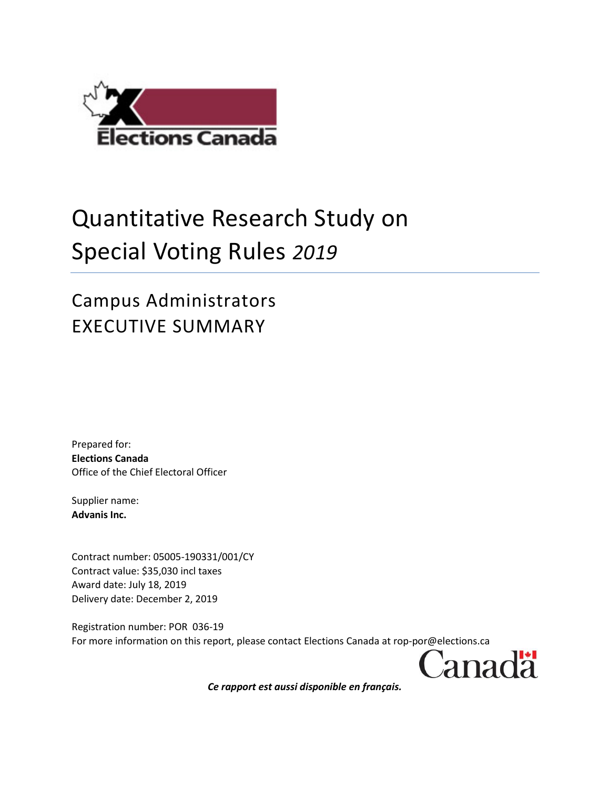

## Quantitative Research Study on Special Voting Rules *2019*

## Campus Administrators EXECUTIVE SUMMARY

Prepared for: **Elections Canada** Office of the Chief Electoral Officer

Supplier name: **Advanis Inc.**

Contract number: 05005-190331/001/CY Contract value: \$35,030 incl taxes Award date: July 18, 2019 Delivery date: December 2, 2019

Registration number: POR 036-19 For more information on this report, please contact Elections Canada at rop-por@elections.ca

Canadä

*Ce rapport est aussi disponible en français.*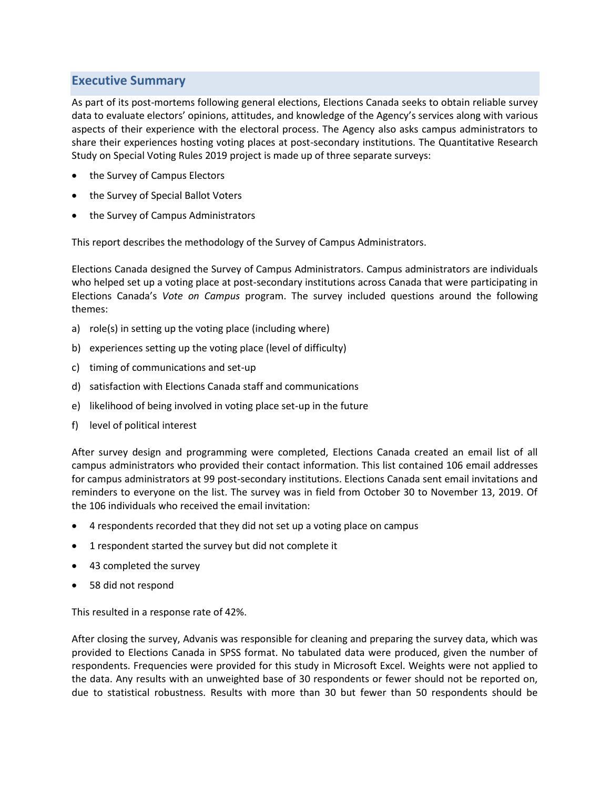## **Executive Summary**

As part of its post-mortems following general elections, Elections Canada seeks to obtain reliable survey data to evaluate electors' opinions, attitudes, and knowledge of the Agency's services along with various aspects of their experience with the electoral process. The Agency also asks campus administrators to share their experiences hosting voting places at post-secondary institutions. The Quantitative Research Study on Special Voting Rules 2019 project is made up of three separate surveys:

- the Survey of Campus Electors
- the Survey of Special Ballot Voters
- the Survey of Campus Administrators

This report describes the methodology of the Survey of Campus Administrators.

Elections Canada designed the Survey of Campus Administrators. Campus administrators are individuals who helped set up a voting place at post-secondary institutions across Canada that were participating in Elections Canada's *Vote on Campus* program. The survey included questions around the following themes:

- a) role(s) in setting up the voting place (including where)
- b) experiences setting up the voting place (level of difficulty)
- c) timing of communications and set-up
- d) satisfaction with Elections Canada staff and communications
- e) likelihood of being involved in voting place set-up in the future
- f) level of political interest

After survey design and programming were completed, Elections Canada created an email list of all campus administrators who provided their contact information. This list contained 106 email addresses for campus administrators at 99 post-secondary institutions. Elections Canada sent email invitations and reminders to everyone on the list. The survey was in field from October 30 to November 13, 2019. Of the 106 individuals who received the email invitation:

- 4 respondents recorded that they did not set up a voting place on campus
- 1 respondent started the survey but did not complete it
- 43 completed the survey
- 58 did not respond

This resulted in a response rate of 42%.

After closing the survey, Advanis was responsible for cleaning and preparing the survey data, which was provided to Elections Canada in SPSS format. No tabulated data were produced, given the number of respondents. Frequencies were provided for this study in Microsoft Excel. Weights were not applied to the data. Any results with an unweighted base of 30 respondents or fewer should not be reported on, due to statistical robustness. Results with more than 30 but fewer than 50 respondents should be